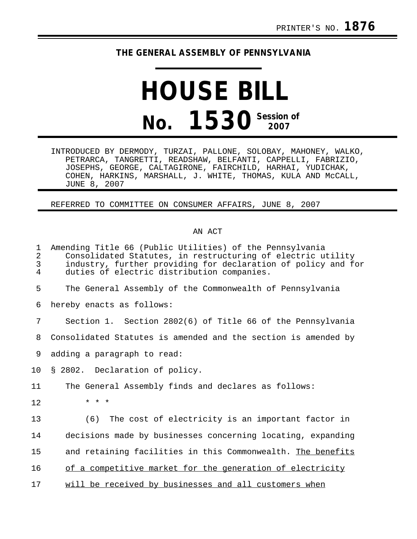## **THE GENERAL ASSEMBLY OF PENNSYLVANIA**

## **HOUSE BILL No. 1530** Session of

INTRODUCED BY DERMODY, TURZAI, PALLONE, SOLOBAY, MAHONEY, WALKO, PETRARCA, TANGRETTI, READSHAW, BELFANTI, CAPPELLI, FABRIZIO, JOSEPHS, GEORGE, CALTAGIRONE, FAIRCHILD, HARHAI, YUDICHAK, COHEN, HARKINS, MARSHALL, J. WHITE, THOMAS, KULA AND McCALL, JUNE 8, 2007

REFERRED TO COMMITTEE ON CONSUMER AFFAIRS, JUNE 8, 2007

## AN ACT

| 1<br>$\overline{2}$<br>3<br>4 | Amending Title 66 (Public Utilities) of the Pennsylvania<br>Consolidated Statutes, in restructuring of electric utility<br>industry, further providing for declaration of policy and for<br>duties of electric distribution companies. |
|-------------------------------|----------------------------------------------------------------------------------------------------------------------------------------------------------------------------------------------------------------------------------------|
| 5                             | The General Assembly of the Commonwealth of Pennsylvania                                                                                                                                                                               |
| 6                             | hereby enacts as follows:                                                                                                                                                                                                              |
| 7                             | Section 1. Section 2802(6) of Title 66 of the Pennsylvania                                                                                                                                                                             |
| 8                             | Consolidated Statutes is amended and the section is amended by                                                                                                                                                                         |
| 9                             | adding a paragraph to read:                                                                                                                                                                                                            |
| 10                            | § 2802. Declaration of policy.                                                                                                                                                                                                         |
| 11                            | The General Assembly finds and declares as follows:                                                                                                                                                                                    |
| 12                            | $\star$ $\star$ $\star$                                                                                                                                                                                                                |
| 13                            | (6)<br>The cost of electricity is an important factor in                                                                                                                                                                               |
| 14                            | decisions made by businesses concerning locating, expanding                                                                                                                                                                            |
| 15                            | and retaining facilities in this Commonwealth. The benefits                                                                                                                                                                            |
| 16                            | of a competitive market for the generation of electricity                                                                                                                                                                              |
| 17                            | will be received by businesses and all customers when                                                                                                                                                                                  |
|                               |                                                                                                                                                                                                                                        |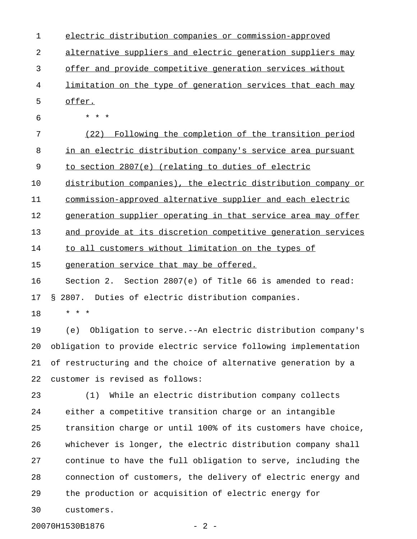| $\mathbf 1$ | electric distribution companies or commission-approved          |
|-------------|-----------------------------------------------------------------|
| 2           | alternative suppliers and electric generation suppliers may     |
| 3           | offer and provide competitive generation services without       |
| 4           | limitation on the type of generation services that each may     |
| 5           | offer.                                                          |
| 6           | * * *                                                           |
| 7           | Following the completion of the transition period<br>(22)       |
| 8           | in an electric distribution company's service area pursuant     |
| 9           | to section 2807(e) (relating to duties of electric              |
| 10          | distribution companies), the electric distribution company or   |
| 11          | commission-approved alternative supplier and each electric      |
| 12          | generation supplier operating in that service area may offer    |
| 13          | and provide at its discretion competitive generation services   |
| 14          | to all customers without limitation on the types of             |
| 15          | generation service that may be offered.                         |
| 16          | Section 2. Section 2807(e) of Title 66 is amended to read:      |
| 17          | Duties of electric distribution companies.<br>\$2807.           |
| 18          | $\star$ $\star$<br>$^\star$                                     |
| 19          | Obligation to serve.--An electric distribution company's<br>(e) |
| 20          | obligation to provide electric service following implementation |
| 21          | of restructuring and the choice of alternative generation by a  |
| 22          | customer is revised as follows:                                 |
| 23          | While an electric distribution company collects<br>(1)          |
| 24          | either a competitive transition charge or an intangible         |
| 25          | transition charge or until 100% of its customers have choice,   |
| 26          | whichever is longer, the electric distribution company shall    |
| 27          | continue to have the full obligation to serve, including the    |
| 28          | connection of customers, the delivery of electric energy and    |
| 29          | the production or acquisition of electric energy for            |
| 30          | customers.                                                      |
|             |                                                                 |

20070H1530B1876 - 2 -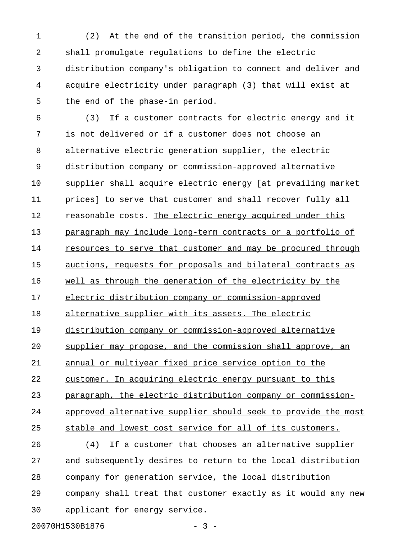1 (2) At the end of the transition period, the commission 2 shall promulgate regulations to define the electric 3 distribution company's obligation to connect and deliver and 4 acquire electricity under paragraph (3) that will exist at 5 the end of the phase-in period.

6 (3) If a customer contracts for electric energy and it 7 is not delivered or if a customer does not choose an 8 alternative electric generation supplier, the electric 9 distribution company or commission-approved alternative 10 supplier shall acquire electric energy [at prevailing market 11 prices] to serve that customer and shall recover fully all 12 reasonable costs. The electric energy acquired under this 13 paragraph may include long-term contracts or a portfolio of 14 resources to serve that customer and may be procured through 15 auctions, requests for proposals and bilateral contracts as 16 well as through the generation of the electricity by the 17 electric distribution company or commission-approved 18 alternative supplier with its assets. The electric 19 distribution company or commission-approved alternative 20 supplier may propose, and the commission shall approve, an 21 annual or multiyear fixed price service option to the 22 customer. In acquiring electric energy pursuant to this 23 paragraph, the electric distribution company or commission-24 approved alternative supplier should seek to provide the most 25 stable and lowest cost service for all of its customers. 26 (4) If a customer that chooses an alternative supplier 27 and subsequently desires to return to the local distribution

28 company for generation service, the local distribution 29 company shall treat that customer exactly as it would any new 30 applicant for energy service.

20070H1530B1876 - 3 -